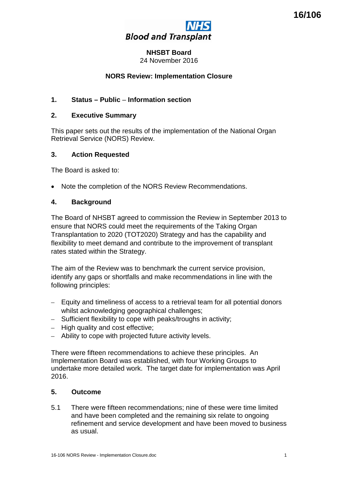

# **NHSBT Board**

24 November 2016

# **NORS Review: Implementation Closure**

# **1. Status – Public** – **Information section**

### **2. Executive Summary**

This paper sets out the results of the implementation of the National Organ Retrieval Service (NORS) Review.

### **3. Action Requested**

The Board is asked to:

• Note the completion of the NORS Review Recommendations.

### **4. Background**

The Board of NHSBT agreed to commission the Review in September 2013 to ensure that NORS could meet the requirements of the Taking Organ Transplantation to 2020 (TOT2020) Strategy and has the capability and flexibility to meet demand and contribute to the improvement of transplant rates stated within the Strategy.

The aim of the Review was to benchmark the current service provision, identify any gaps or shortfalls and make recommendations in line with the following principles:

- Equity and timeliness of access to a retrieval team for all potential donors whilst acknowledging geographical challenges:
- Sufficient flexibility to cope with peaks/troughs in activity;
- High quality and cost effective;
- Ability to cope with projected future activity levels.

There were fifteen recommendations to achieve these principles. An Implementation Board was established, with four Working Groups to undertake more detailed work. The target date for implementation was April 2016.

# **5. Outcome**

5.1 There were fifteen recommendations; nine of these were time limited and have been completed and the remaining six relate to ongoing refinement and service development and have been moved to business as usual.